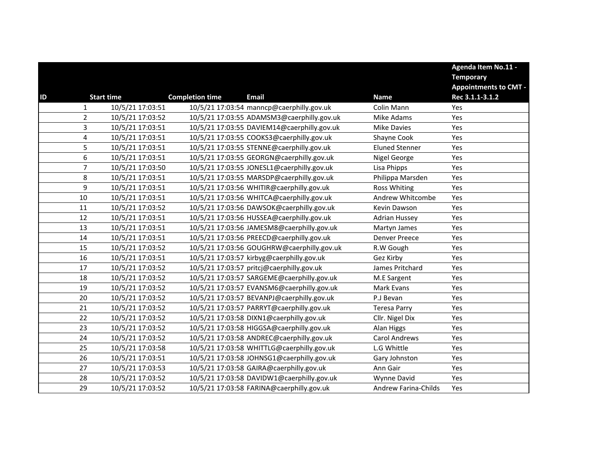|    |                         |                   |                        |                                             |                             | Agenda Item No.11 -<br><b>Temporary</b><br><b>Appointments to CMT -</b> |
|----|-------------------------|-------------------|------------------------|---------------------------------------------|-----------------------------|-------------------------------------------------------------------------|
| ID |                         | <b>Start time</b> | <b>Completion time</b> | <b>Email</b>                                | <b>Name</b>                 | Rec 3.1.1-3.1.2                                                         |
|    | $\mathbf{1}$            | 10/5/21 17:03:51  |                        | 10/5/21 17:03:54 manncp@caerphilly.gov.uk   | Colin Mann                  | Yes                                                                     |
|    | $\overline{2}$          | 10/5/21 17:03:52  |                        | 10/5/21 17:03:55 ADAMSM3@caerphilly.gov.uk  | Mike Adams                  | Yes                                                                     |
|    | 3                       | 10/5/21 17:03:51  |                        | 10/5/21 17:03:55 DAVIEM14@caerphilly.gov.uk | <b>Mike Davies</b>          | Yes                                                                     |
|    | $\overline{\mathbf{4}}$ | 10/5/21 17:03:51  |                        | 10/5/21 17:03:55 COOKS3@caerphilly.gov.uk   | Shayne Cook                 | Yes                                                                     |
|    | 5                       | 10/5/21 17:03:51  |                        | 10/5/21 17:03:55 STENNE@caerphilly.gov.uk   | <b>Eluned Stenner</b>       | Yes                                                                     |
|    | 6                       | 10/5/21 17:03:51  |                        | 10/5/21 17:03:55 GEORGN@caerphilly.gov.uk   | Nigel George                | Yes                                                                     |
|    | $\overline{7}$          | 10/5/21 17:03:50  |                        | 10/5/21 17:03:55 JONESL1@caerphilly.gov.uk  | Lisa Phipps                 | Yes                                                                     |
|    | 8                       | 10/5/21 17:03:51  |                        | 10/5/21 17:03:55 MARSDP@caerphilly.gov.uk   | Philippa Marsden            | Yes                                                                     |
|    | 9                       | 10/5/21 17:03:51  |                        | 10/5/21 17:03:56 WHITIR@caerphilly.gov.uk   | <b>Ross Whiting</b>         | Yes                                                                     |
|    | 10                      | 10/5/21 17:03:51  |                        | 10/5/21 17:03:56 WHITCA@caerphilly.gov.uk   | Andrew Whitcombe            | Yes                                                                     |
|    | 11                      | 10/5/21 17:03:52  |                        | 10/5/21 17:03:56 DAWSOK@caerphilly.gov.uk   | Kevin Dawson                | Yes                                                                     |
|    | 12                      | 10/5/21 17:03:51  |                        | 10/5/21 17:03:56 HUSSEA@caerphilly.gov.uk   | <b>Adrian Hussey</b>        | Yes                                                                     |
|    | 13                      | 10/5/21 17:03:51  |                        | 10/5/21 17:03:56 JAMESM8@caerphilly.gov.uk  | Martyn James                | Yes                                                                     |
|    | 14                      | 10/5/21 17:03:51  |                        | 10/5/21 17:03:56 PREECD@caerphilly.gov.uk   | Denver Preece               | Yes                                                                     |
|    | 15                      | 10/5/21 17:03:52  |                        | 10/5/21 17:03:56 GOUGHRW@caerphilly.gov.uk  | R.W Gough                   | Yes                                                                     |
|    | 16                      | 10/5/21 17:03:51  |                        | 10/5/21 17:03:57 kirbyg@caerphilly.gov.uk   | Gez Kirby                   | Yes                                                                     |
|    | 17                      | 10/5/21 17:03:52  |                        | 10/5/21 17:03:57 pritcj@caerphilly.gov.uk   | James Pritchard             | Yes                                                                     |
|    | 18                      | 10/5/21 17:03:52  |                        | 10/5/21 17:03:57 SARGEME@caerphilly.gov.uk  | M.E Sargent                 | Yes                                                                     |
|    | 19                      | 10/5/21 17:03:52  |                        | 10/5/21 17:03:57 EVANSM6@caerphilly.gov.uk  | Mark Evans                  | Yes                                                                     |
|    | 20                      | 10/5/21 17:03:52  |                        | 10/5/21 17:03:57 BEVANPJ@caerphilly.gov.uk  | P.J Bevan                   | Yes                                                                     |
|    | 21                      | 10/5/21 17:03:52  |                        | 10/5/21 17:03:57 PARRYT@caerphilly.gov.uk   | <b>Teresa Parry</b>         | Yes                                                                     |
|    | 22                      | 10/5/21 17:03:52  |                        | 10/5/21 17:03:58 DIXN1@caerphilly.gov.uk    | Cllr. Nigel Dix             | Yes                                                                     |
|    | 23                      | 10/5/21 17:03:52  |                        | 10/5/21 17:03:58 HIGGSA@caerphilly.gov.uk   | Alan Higgs                  | Yes                                                                     |
|    | 24                      | 10/5/21 17:03:52  |                        | 10/5/21 17:03:58 ANDREC@caerphilly.gov.uk   | <b>Carol Andrews</b>        | Yes                                                                     |
|    | 25                      | 10/5/21 17:03:58  |                        | 10/5/21 17:03:58 WHITTLG@caerphilly.gov.uk  | L.G Whittle                 | Yes                                                                     |
|    | 26                      | 10/5/21 17:03:51  |                        | 10/5/21 17:03:58 JOHNSG1@caerphilly.gov.uk  | Gary Johnston               | Yes                                                                     |
|    | 27                      | 10/5/21 17:03:53  |                        | 10/5/21 17:03:58 GAIRA@caerphilly.gov.uk    | Ann Gair                    | Yes                                                                     |
|    | 28                      | 10/5/21 17:03:52  |                        | 10/5/21 17:03:58 DAVIDW1@caerphilly.gov.uk  | Wynne David                 | Yes                                                                     |
|    | 29                      | 10/5/21 17:03:52  |                        | 10/5/21 17:03:58 FARINA@caerphilly.gov.uk   | <b>Andrew Farina-Childs</b> | Yes                                                                     |